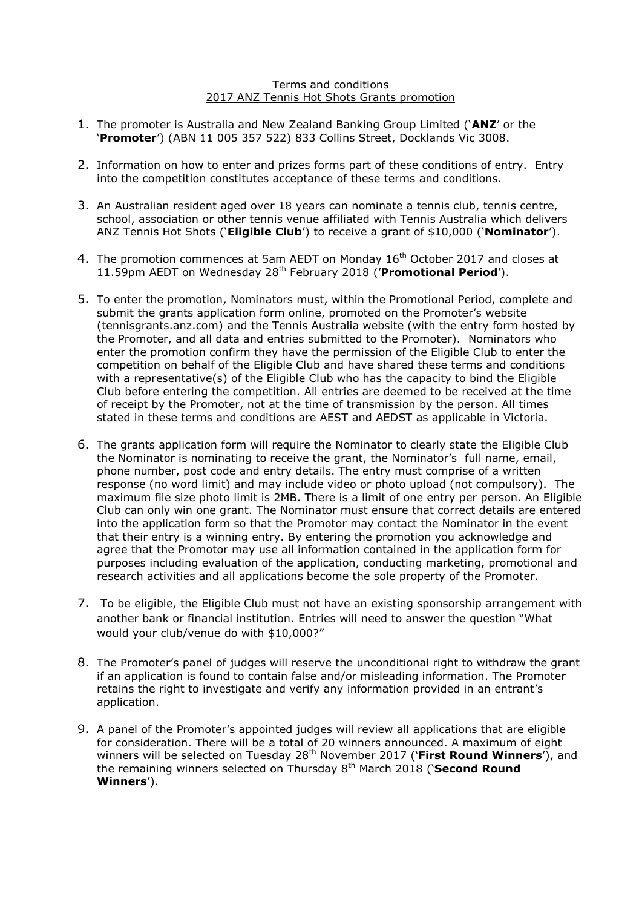## Terms and conditions 2017 ANZ Tennis Hot Shots Grants promotion

- 1. The promoter is Australia and New Zealand Banking Group Limited ('**ANZ**' or the '**Promoter**') (ABN 11 005 357 522) 833 Collins Street, Docklands Vic 3008.
- 2. Information on how to enter and prizes forms part of these conditions of entry. Entry into the competition constitutes acceptance of these terms and conditions.
- 3. An Australian resident aged over 18 years can nominate a tennis club, tennis centre, school, association or other tennis venue affiliated with Tennis Australia which delivers ANZ Tennis Hot Shots ('**Eligible Club**') to receive a grant of \$10,000 ('**Nominator**').
- 4. The promotion commences at 5am AEDT on Monday 16<sup>th</sup> October 2017 and closes at 11.59pm AEDT on Wednesday 28<sup>th</sup> February 2018 ('Promotional Period').
- 5. To enter the promotion, Nominators must, within the Promotional Period, complete and submit the grants application form online, promoted on the Promoter's website (tennisgrants.anz.com) and the Tennis Australia website (with the entry form hosted by the Promoter, and all data and entries submitted to the Promoter). Nominators who enter the promotion confirm they have the permission of the Eligible Club to enter the competition on behalf of the Eligible Club and have shared these terms and conditions with a representative(s) of the Eligible Club who has the capacity to bind the Eligible Club before entering the competition. All entries are deemed to be received at the time of receipt by the Promoter, not at the time of transmission by the person. All times stated in these terms and conditions are AEST and AEDST as applicable in Victoria.
- 6. The grants application form will require the Nominator to clearly state the Eligible Club the Nominator is nominating to receive the grant, the Nominator's full name, email, phone number, post code and entry details. The entry must comprise of a written response (no word limit) and may include video or photo upload (not compulsory). The maximum file size photo limit is 2MB. There is a limit of one entry per person. An Eligible Club can only win one grant. The Nominator must ensure that correct details are entered into the application form so that the Promotor may contact the Nominator in the event that their entry is a winning entry. By entering the promotion you acknowledge and agree that the Promotor may use all information contained in the application form for purposes including evaluation of the application, conducting marketing, promotional and research activities and all applications become the sole property of the Promoter.
- 7. To be eligible, the Eligible Club must not have an existing sponsorship arrangement with another bank or financial institution. Entries will need to answer the question "What would your club/venue do with \$10,000?"
- 8. The Promoter's panel of judges will reserve the unconditional right to withdraw the grant if an application is found to contain false and/or misleading information. The Promoter retains the right to investigate and verify any information provided in an entrant's application.
- 9. A panel of the Promoter's appointed judges will review all applications that are eligible for consideration. There will be a total of 20 winners announced. A maximum of eight winners will be selected on Tuesday 28<sup>th</sup> November 2017 ('First Round Winners'), and the remaining winners selected on Thursday 8<sup>th</sup> March 2018 ('**Second Round Winners**').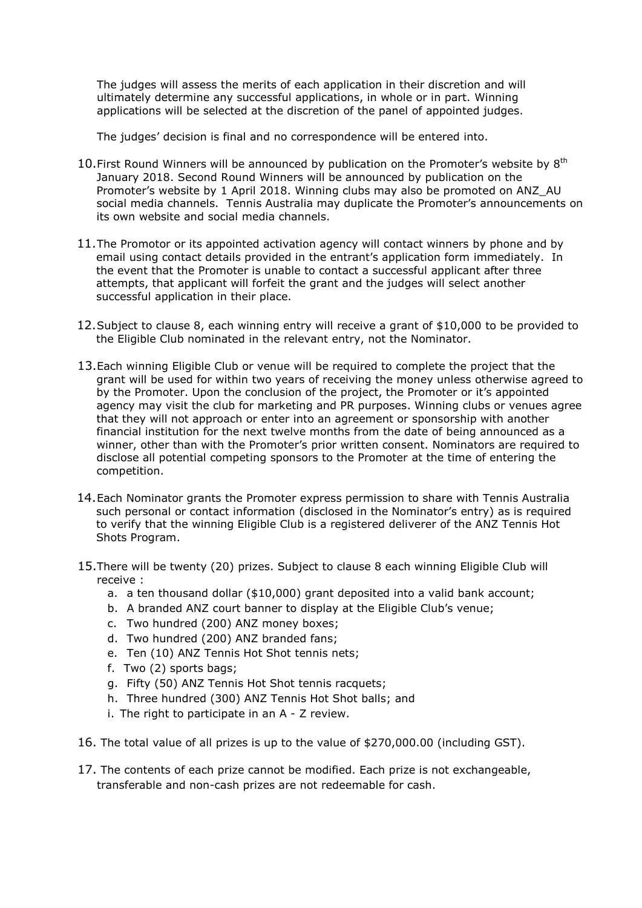The judges will assess the merits of each application in their discretion and will ultimately determine any successful applications, in whole or in part. Winning applications will be selected at the discretion of the panel of appointed judges.

The judges' decision is final and no correspondence will be entered into.

- 10. First Round Winners will be announced by publication on the Promoter's website by  $8<sup>th</sup>$ January 2018. Second Round Winners will be announced by publication on the Promoter's website by 1 April 2018. Winning clubs may also be promoted on ANZ\_AU social media channels. Tennis Australia may duplicate the Promoter's announcements on its own website and social media channels.
- 11.The Promotor or its appointed activation agency will contact winners by phone and by email using contact details provided in the entrant's application form immediately. In the event that the Promoter is unable to contact a successful applicant after three attempts, that applicant will forfeit the grant and the judges will select another successful application in their place.
- 12.Subject to clause 8, each winning entry will receive a grant of \$10,000 to be provided to the Eligible Club nominated in the relevant entry, not the Nominator.
- 13.Each winning Eligible Club or venue will be required to complete the project that the grant will be used for within two years of receiving the money unless otherwise agreed to by the Promoter. Upon the conclusion of the project, the Promoter or it's appointed agency may visit the club for marketing and PR purposes. Winning clubs or venues agree that they will not approach or enter into an agreement or sponsorship with another financial institution for the next twelve months from the date of being announced as a winner, other than with the Promoter's prior written consent. Nominators are required to disclose all potential competing sponsors to the Promoter at the time of entering the competition.
- 14.Each Nominator grants the Promoter express permission to share with Tennis Australia such personal or contact information (disclosed in the Nominator's entry) as is required to verify that the winning Eligible Club is a registered deliverer of the ANZ Tennis Hot Shots Program.
- 15.There will be twenty (20) prizes. Subject to clause 8 each winning Eligible Club will receive :
	- a. a ten thousand dollar (\$10,000) grant deposited into a valid bank account;
	- b. A branded ANZ court banner to display at the Eligible Club's venue;
	- c. Two hundred (200) ANZ money boxes;
	- d. Two hundred (200) ANZ branded fans;
	- e. Ten (10) ANZ Tennis Hot Shot tennis nets;
	- f. Two (2) sports bags;
	- g. Fifty (50) ANZ Tennis Hot Shot tennis racquets;
	- h. Three hundred (300) ANZ Tennis Hot Shot balls; and
	- i. The right to participate in an A Z review.
- 16. The total value of all prizes is up to the value of \$270,000.00 (including GST).
- 17. The contents of each prize cannot be modified. Each prize is not exchangeable, transferable and non-cash prizes are not redeemable for cash.